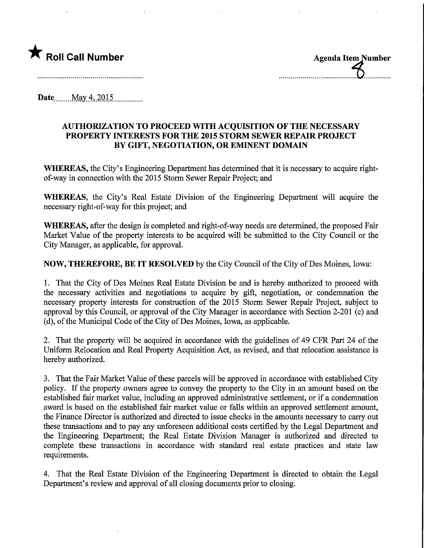

Date........May.4,2Q15,

## AUTHORIZATION TO PROCEED WITH ACQUISITION OF THE NECESSARY PROPERTY INTERESTS FOR THE 2015 STORM SEWER REPAIR PROJECT BY GIFT, NEGOTIATION, OR EMINENT DOMAIN

WHEREAS, the City's Engineering Department has determined that it is necessary to acquire rightof-way in connection with the 2015 Storm Sewer Repair Project; and

WHEREAS, the City's Real Estate Division of the Engineering Department will acquire the necessary right-of-way for this project; and

WHEREAS, after the design is completed and right-of-way needs are determined, the proposed Fair Market Value of the property interests to be acquired will be submitted to the City Council or the City Manager, as applicable, for approval.

NOW, THEREFORE, BE IT RESOLVED by the City Council of the City of Des Moines, Iowa:

1. That the City of Des Moines Real Estate Division be and is hereby authorized to proceed with the necessary activities and negotiations to acquire by gift, negotiation, or condemnation the necessary property interests for construction of the 2015 Storm Sewer Repair Project, subject to approval by this Council, or approval of the City Manager in accordance with Section 2-201 (c) and (d), of the Municipal Code of the City of Des Moines, Iowa, as applicable.

2. That the property will be acquired in accordance with the guidelines of 49 CFR Part 24 of the Uniform Relocation and Real Property Acquisition Act, as revised, and that relocation assistance is hereby authorized.

3. That the Fair Market Value of these parcels will be approved in accordance with established City policy. If the property owners agree to convey the property to the City in an amount based on the established fair market value, including an approved administrative settlement, or if a condemnation award is based on the established fair market value or falls within an approved settlement amount, the Finance Director is authorized and directed to issue checks in the amounts necessary to carry out these transactions and to pay any unforeseen additional costs certified by the Legal Department and the Engineering Department; the Real Estate Division Manager is authorized and directed to complete these transactions in accordance with standard real estate practices and state law requirements.

4. That the Real Estate Division of the Engineering Department is directed to obtain the Legal Department's review and approval of all closing documents prior to closing.